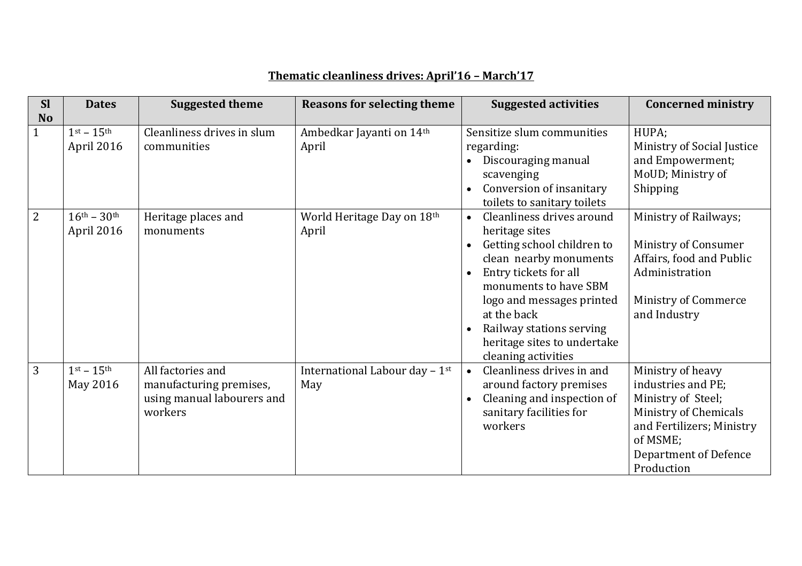## **Thematic cleanliness drives: April'16 – March'17**

| <b>Sl</b><br><b>No</b> | <b>Dates</b>                                    | <b>Suggested theme</b>                                                                | <b>Reasons for selecting theme</b>    | <b>Suggested activities</b>                                                                                                                                                                                                                                                                                   | <b>Concerned ministry</b>                                                                                                                                              |
|------------------------|-------------------------------------------------|---------------------------------------------------------------------------------------|---------------------------------------|---------------------------------------------------------------------------------------------------------------------------------------------------------------------------------------------------------------------------------------------------------------------------------------------------------------|------------------------------------------------------------------------------------------------------------------------------------------------------------------------|
|                        | $1st - 15th$<br>April 2016                      | Cleanliness drives in slum<br>communities                                             | Ambedkar Jayanti on 14th<br>April     | Sensitize slum communities<br>regarding:<br>Discouraging manual<br>scavenging<br>Conversion of insanitary<br>toilets to sanitary toilets                                                                                                                                                                      | HUPA;<br>Ministry of Social Justice<br>and Empowerment;<br>MoUD; Ministry of<br><b>Shipping</b>                                                                        |
| $\overline{2}$         | $16^{\text{th}} - 30^{\text{th}}$<br>April 2016 | Heritage places and<br>monuments                                                      | World Heritage Day on 18th<br>April   | Cleanliness drives around<br>$\bullet$<br>heritage sites<br>Getting school children to<br>$\bullet$<br>clean nearby monuments<br>Entry tickets for all<br>monuments to have SBM<br>logo and messages printed<br>at the back<br>Railway stations serving<br>heritage sites to undertake<br>cleaning activities | Ministry of Railways;<br>Ministry of Consumer<br>Affairs, food and Public<br>Administration<br>Ministry of Commerce<br>and Industry                                    |
| 3                      | $1st - 15th$<br>May 2016                        | All factories and<br>manufacturing premises,<br>using manual labourers and<br>workers | International Labour day - 1st<br>May | Cleanliness drives in and<br>$\bullet$<br>around factory premises<br>Cleaning and inspection of<br>sanitary facilities for<br>workers                                                                                                                                                                         | Ministry of heavy<br>industries and PE;<br>Ministry of Steel;<br>Ministry of Chemicals<br>and Fertilizers; Ministry<br>of MSME;<br>Department of Defence<br>Production |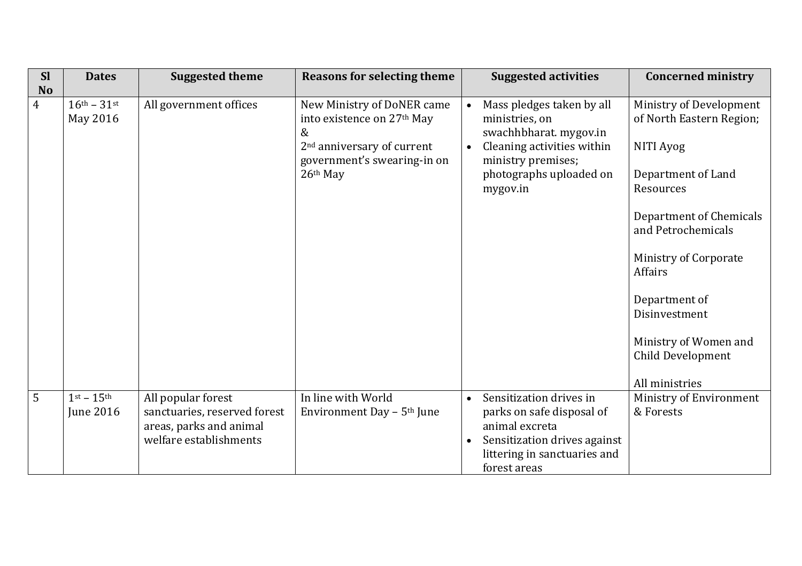| <b>Sl</b><br><b>No</b> | <b>Dates</b>                                  | <b>Suggested theme</b>                                                                                  | <b>Reasons for selecting theme</b>                                                                                                                                  | <b>Suggested activities</b>                                                                                                                                                                | <b>Concerned ministry</b>                                                                                                                                                                                                                                                                         |
|------------------------|-----------------------------------------------|---------------------------------------------------------------------------------------------------------|---------------------------------------------------------------------------------------------------------------------------------------------------------------------|--------------------------------------------------------------------------------------------------------------------------------------------------------------------------------------------|---------------------------------------------------------------------------------------------------------------------------------------------------------------------------------------------------------------------------------------------------------------------------------------------------|
| $\overline{4}$         | $16^{\text{th}} - 31^{\text{st}}$<br>May 2016 | All government offices                                                                                  | New Ministry of DoNER came<br>into existence on 27 <sup>th</sup> May<br>$\&$<br>2 <sup>nd</sup> anniversary of current<br>government's swearing-in on<br>$26th$ May | Mass pledges taken by all<br>$\bullet$<br>ministries, on<br>swachhbharat. mygov.in<br>Cleaning activities within<br>$\bullet$<br>ministry premises;<br>photographs uploaded on<br>mygov.in | Ministry of Development<br>of North Eastern Region;<br>NITI Ayog<br>Department of Land<br>Resources<br>Department of Chemicals<br>and Petrochemicals<br>Ministry of Corporate<br><b>Affairs</b><br>Department of<br>Disinvestment<br>Ministry of Women and<br>Child Development<br>All ministries |
| 5                      | $1st - 15th$<br>June 2016                     | All popular forest<br>sanctuaries, reserved forest<br>areas, parks and animal<br>welfare establishments | In line with World<br>Environment Day - 5 <sup>th</sup> June                                                                                                        | Sensitization drives in<br>$\bullet$<br>parks on safe disposal of<br>animal excreta<br>Sensitization drives against<br>littering in sanctuaries and<br>forest areas                        | Ministry of Environment<br>& Forests                                                                                                                                                                                                                                                              |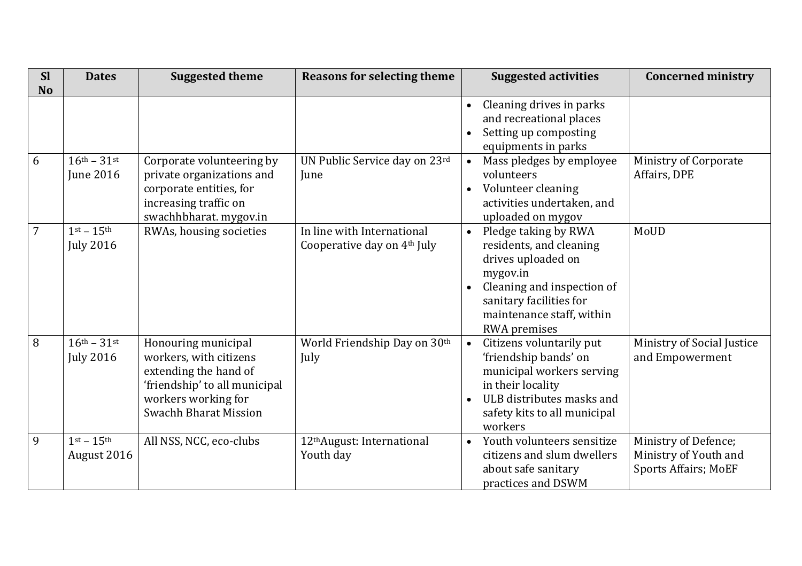| <b>Sl</b>      | <b>Dates</b>                            | <b>Suggested theme</b>                                                                                                                                  | <b>Reasons for selecting theme</b>                                    | <b>Suggested activities</b>                                                                                                                                                                          | <b>Concerned ministry</b>                                                    |
|----------------|-----------------------------------------|---------------------------------------------------------------------------------------------------------------------------------------------------------|-----------------------------------------------------------------------|------------------------------------------------------------------------------------------------------------------------------------------------------------------------------------------------------|------------------------------------------------------------------------------|
| <b>No</b>      |                                         |                                                                                                                                                         |                                                                       | Cleaning drives in parks<br>and recreational places<br>Setting up composting<br>equipments in parks                                                                                                  |                                                                              |
| 6              | $16^{th} - 31^{st}$<br>June 2016        | Corporate volunteering by<br>private organizations and<br>corporate entities, for<br>increasing traffic on<br>swachhbharat. mygov.in                    | UN Public Service day on 23rd<br><b>Iune</b>                          | Mass pledges by employee<br>$\bullet$<br>volunteers<br>Volunteer cleaning<br>$\bullet$<br>activities undertaken, and<br>uploaded on mygov                                                            | Ministry of Corporate<br>Affairs, DPE                                        |
| $\overline{7}$ | $1st - 15th$<br><b>July 2016</b>        | RWAs, housing societies                                                                                                                                 | In line with International<br>Cooperative day on 4 <sup>th</sup> July | Pledge taking by RWA<br>$\bullet$<br>residents, and cleaning<br>drives uploaded on<br>mygov.in<br>Cleaning and inspection of<br>sanitary facilities for<br>maintenance staff, within<br>RWA premises | MoUD                                                                         |
| 8              | $16^{th} - 31^{st}$<br><b>July 2016</b> | Honouring municipal<br>workers, with citizens<br>extending the hand of<br>'friendship' to all municipal<br>workers working for<br>Swachh Bharat Mission | World Friendship Day on 30th<br>July                                  | Citizens voluntarily put<br>$\bullet$<br>'friendship bands' on<br>municipal workers serving<br>in their locality<br>ULB distributes masks and<br>safety kits to all municipal<br>workers             | Ministry of Social Justice<br>and Empowerment                                |
| 9              | $1st - 15th$<br>August 2016             | All NSS, NCC, eco-clubs                                                                                                                                 | 12th August: International<br>Youth day                               | Youth volunteers sensitize<br>citizens and slum dwellers<br>about safe sanitary<br>practices and DSWM                                                                                                | Ministry of Defence;<br>Ministry of Youth and<br><b>Sports Affairs; MoEF</b> |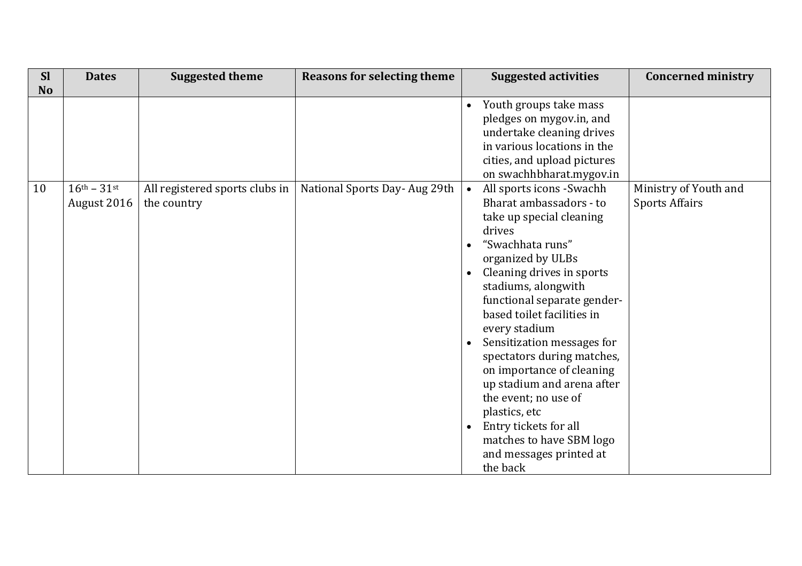| <b>Sl</b> | <b>Dates</b>                       | <b>Suggested theme</b>                        | <b>Reasons for selecting theme</b> | <b>Suggested activities</b>                                                                                                                                                                                                                                                                                                                                                                                                                                                                                                                                              | <b>Concerned ministry</b>                      |
|-----------|------------------------------------|-----------------------------------------------|------------------------------------|--------------------------------------------------------------------------------------------------------------------------------------------------------------------------------------------------------------------------------------------------------------------------------------------------------------------------------------------------------------------------------------------------------------------------------------------------------------------------------------------------------------------------------------------------------------------------|------------------------------------------------|
| <b>No</b> |                                    |                                               |                                    |                                                                                                                                                                                                                                                                                                                                                                                                                                                                                                                                                                          |                                                |
|           |                                    |                                               |                                    | Youth groups take mass<br>$\bullet$<br>pledges on mygov.in, and<br>undertake cleaning drives<br>in various locations in the<br>cities, and upload pictures<br>on swachhbharat.mygov.in                                                                                                                                                                                                                                                                                                                                                                                   |                                                |
| 10        | $16^{th} - 31^{st}$<br>August 2016 | All registered sports clubs in<br>the country | National Sports Day-Aug 29th       | All sports icons - Swachh<br>$\bullet$<br>Bharat ambassadors - to<br>take up special cleaning<br>drives<br>"Swachhata runs"<br>organized by ULBs<br>Cleaning drives in sports<br>$\bullet$<br>stadiums, alongwith<br>functional separate gender-<br>based toilet facilities in<br>every stadium<br>Sensitization messages for<br>$\bullet$<br>spectators during matches,<br>on importance of cleaning<br>up stadium and arena after<br>the event; no use of<br>plastics, etc<br>Entry tickets for all<br>matches to have SBM logo<br>and messages printed at<br>the back | Ministry of Youth and<br><b>Sports Affairs</b> |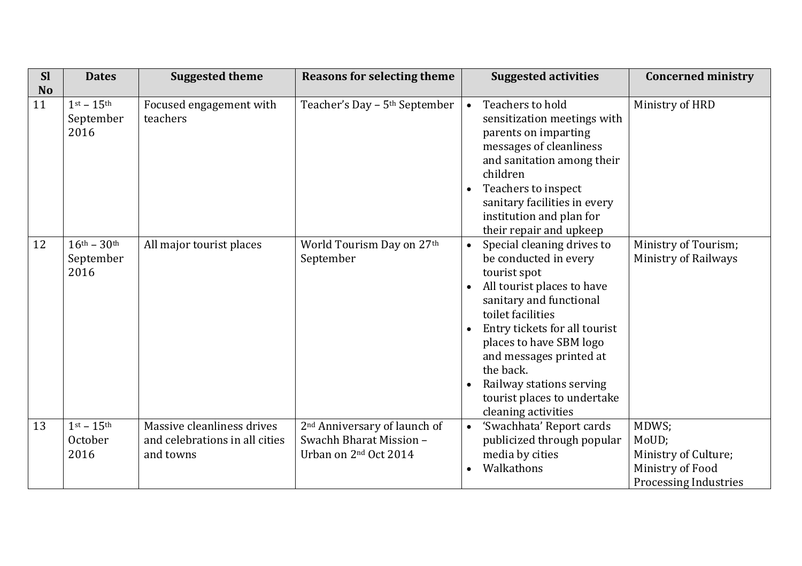| <b>Sl</b> | <b>Dates</b>                             | <b>Suggested theme</b>                                                    | <b>Reasons for selecting theme</b>                                                                       | <b>Suggested activities</b>                                                                                                                                                                                                                                                                                                                          | <b>Concerned ministry</b>                                                                  |
|-----------|------------------------------------------|---------------------------------------------------------------------------|----------------------------------------------------------------------------------------------------------|------------------------------------------------------------------------------------------------------------------------------------------------------------------------------------------------------------------------------------------------------------------------------------------------------------------------------------------------------|--------------------------------------------------------------------------------------------|
| <b>No</b> |                                          |                                                                           |                                                                                                          |                                                                                                                                                                                                                                                                                                                                                      |                                                                                            |
| 11        | $1st - 15th$<br>September<br>2016        | Focused engagement with<br>teachers                                       | Teacher's Day - 5 <sup>th</sup> September                                                                | Teachers to hold<br>$\bullet$<br>sensitization meetings with<br>parents on imparting<br>messages of cleanliness<br>and sanitation among their<br>children<br>Teachers to inspect<br>sanitary facilities in every<br>institution and plan for<br>their repair and upkeep                                                                              | Ministry of HRD                                                                            |
| 12        | $16^{th} - 30^{th}$<br>September<br>2016 | All major tourist places                                                  | World Tourism Day on 27th<br>September                                                                   | Special cleaning drives to<br>$\bullet$<br>be conducted in every<br>tourist spot<br>All tourist places to have<br>sanitary and functional<br>toilet facilities<br>Entry tickets for all tourist<br>places to have SBM logo<br>and messages printed at<br>the back.<br>Railway stations serving<br>tourist places to undertake<br>cleaning activities | Ministry of Tourism;<br>Ministry of Railways                                               |
| 13        | $1st - 15th$<br>October<br>2016          | Massive cleanliness drives<br>and celebrations in all cities<br>and towns | 2 <sup>nd</sup> Anniversary of launch of<br>Swachh Bharat Mission -<br>Urban on 2 <sup>nd</sup> Oct 2014 | 'Swachhata' Report cards<br>$\bullet$<br>publicized through popular<br>media by cities<br>Walkathons                                                                                                                                                                                                                                                 | MDWS;<br>MoUD;<br>Ministry of Culture;<br>Ministry of Food<br><b>Processing Industries</b> |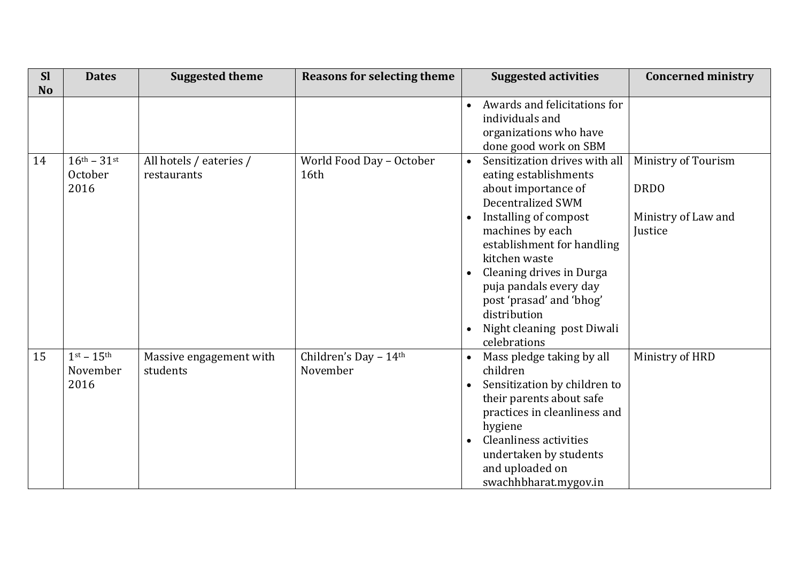| <b>Sl</b> | <b>Dates</b>                           | <b>Suggested theme</b>                 | <b>Reasons for selecting theme</b> | <b>Suggested activities</b>                                                                                                                                                                                                                                                                                                                                        | <b>Concerned ministry</b>                                            |
|-----------|----------------------------------------|----------------------------------------|------------------------------------|--------------------------------------------------------------------------------------------------------------------------------------------------------------------------------------------------------------------------------------------------------------------------------------------------------------------------------------------------------------------|----------------------------------------------------------------------|
| <b>No</b> |                                        |                                        |                                    |                                                                                                                                                                                                                                                                                                                                                                    |                                                                      |
|           |                                        |                                        |                                    | Awards and felicitations for<br>$\bullet$<br>individuals and<br>organizations who have<br>done good work on SBM                                                                                                                                                                                                                                                    |                                                                      |
| 14        | $16^{th} - 31^{st}$<br>October<br>2016 | All hotels / eateries /<br>restaurants | World Food Day - October<br>16th   | Sensitization drives with all<br>$\bullet$<br>eating establishments<br>about importance of<br><b>Decentralized SWM</b><br>Installing of compost<br>machines by each<br>establishment for handling<br>kitchen waste<br>Cleaning drives in Durga<br>puja pandals every day<br>post 'prasad' and 'bhog'<br>distribution<br>Night cleaning post Diwali<br>celebrations | Ministry of Tourism<br><b>DRDO</b><br>Ministry of Law and<br>Justice |
| 15        | $1st - 15th$<br>November<br>2016       | Massive engagement with<br>students    | Children's Day - 14th<br>November  | Mass pledge taking by all<br>children<br>Sensitization by children to<br>$\bullet$<br>their parents about safe<br>practices in cleanliness and<br>hygiene<br>Cleanliness activities<br>undertaken by students<br>and uploaded on<br>swachhbharat.mygov.in                                                                                                          | Ministry of HRD                                                      |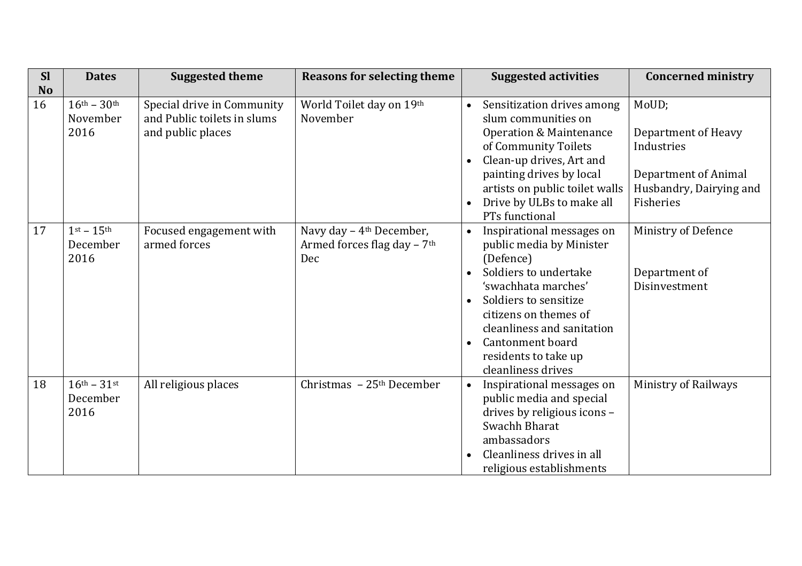| <b>Sl</b> | <b>Dates</b>                            | <b>Suggested theme</b>                                                         | <b>Reasons for selecting theme</b>                                         | <b>Suggested activities</b>                                                                                                                                                                                                                                                                                 | <b>Concerned ministry</b>                                                                                  |
|-----------|-----------------------------------------|--------------------------------------------------------------------------------|----------------------------------------------------------------------------|-------------------------------------------------------------------------------------------------------------------------------------------------------------------------------------------------------------------------------------------------------------------------------------------------------------|------------------------------------------------------------------------------------------------------------|
| <b>No</b> |                                         |                                                                                |                                                                            |                                                                                                                                                                                                                                                                                                             |                                                                                                            |
| 16        | $16^{th} - 30^{th}$<br>November<br>2016 | Special drive in Community<br>and Public toilets in slums<br>and public places | World Toilet day on 19th<br>November                                       | Sensitization drives among<br>$\bullet$<br>slum communities on<br><b>Operation &amp; Maintenance</b><br>of Community Toilets<br>Clean-up drives, Art and<br>painting drives by local<br>artists on public toilet walls<br>Drive by ULBs to make all<br>PTs functional                                       | MoUD;<br>Department of Heavy<br>Industries<br>Department of Animal<br>Husbandry, Dairying and<br>Fisheries |
| 17        | $1st - 15th$<br>December<br>2016        | Focused engagement with<br>armed forces                                        | Navy day - 4 <sup>th</sup> December,<br>Armed forces flag day - 7th<br>Dec | Inspirational messages on<br>$\bullet$<br>public media by Minister<br>(Defence)<br>Soldiers to undertake<br>$\bullet$<br>'swachhata marches'<br>Soldiers to sensitize<br>$\bullet$<br>citizens on themes of<br>cleanliness and sanitation<br>Cantonment board<br>residents to take up<br>cleanliness drives | Ministry of Defence<br>Department of<br>Disinvestment                                                      |
| 18        | $16^{th} - 31^{st}$<br>December<br>2016 | All religious places                                                           | Christmas - 25 <sup>th</sup> December                                      | Inspirational messages on<br>$\bullet$<br>public media and special<br>drives by religious icons -<br>Swachh Bharat<br>ambassadors<br>Cleanliness drives in all<br>religious establishments                                                                                                                  | Ministry of Railways                                                                                       |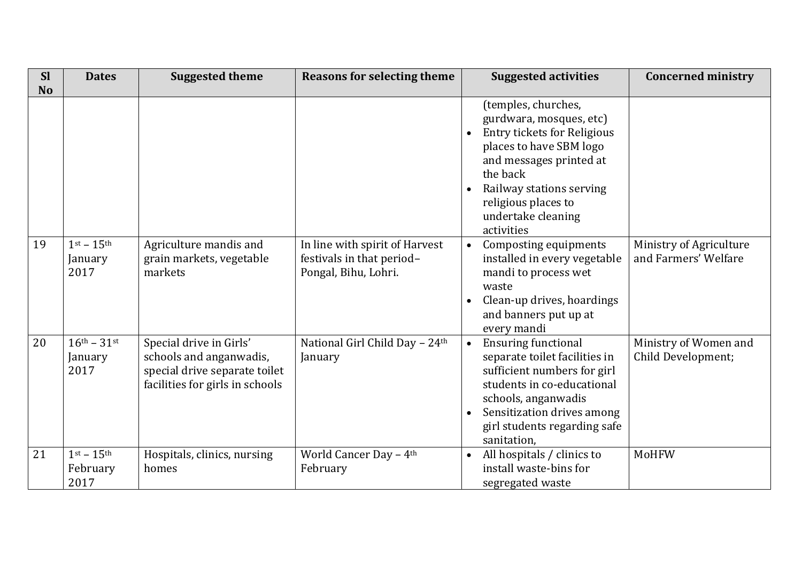| <b>Sl</b> | <b>Dates</b>                           | <b>Suggested theme</b>                                                                                                 | <b>Reasons for selecting theme</b>                                                  | <b>Suggested activities</b>                                                                                                                                                                                                                            | <b>Concerned ministry</b>                       |
|-----------|----------------------------------------|------------------------------------------------------------------------------------------------------------------------|-------------------------------------------------------------------------------------|--------------------------------------------------------------------------------------------------------------------------------------------------------------------------------------------------------------------------------------------------------|-------------------------------------------------|
| <b>No</b> |                                        |                                                                                                                        |                                                                                     | (temples, churches,<br>gurdwara, mosques, etc)<br><b>Entry tickets for Religious</b><br>places to have SBM logo<br>and messages printed at<br>the back<br>Railway stations serving<br>religious places to<br>undertake cleaning<br>activities          |                                                 |
| 19        | $1st - 15th$<br>January<br>2017        | Agriculture mandis and<br>grain markets, vegetable<br>markets                                                          | In line with spirit of Harvest<br>festivals in that period-<br>Pongal, Bihu, Lohri. | Composting equipments<br>$\bullet$<br>installed in every vegetable<br>mandi to process wet<br>waste<br>Clean-up drives, hoardings<br>and banners put up at<br>every mandi                                                                              | Ministry of Agriculture<br>and Farmers' Welfare |
| 20        | $16^{th} - 31^{st}$<br>January<br>2017 | Special drive in Girls'<br>schools and anganwadis,<br>special drive separate toilet<br>facilities for girls in schools | National Girl Child Day - 24th<br>January                                           | <b>Ensuring functional</b><br>$\bullet$<br>separate toilet facilities in<br>sufficient numbers for girl<br>students in co-educational<br>schools, anganwadis<br>Sensitization drives among<br>$\bullet$<br>girl students regarding safe<br>sanitation, | Ministry of Women and<br>Child Development;     |
| 21        | $1st - 15th$<br>February<br>2017       | Hospitals, clinics, nursing<br>homes                                                                                   | World Cancer Day - 4 <sup>th</sup><br>February                                      | All hospitals / clinics to<br>$\bullet$<br>install waste-bins for<br>segregated waste                                                                                                                                                                  | <b>MoHFW</b>                                    |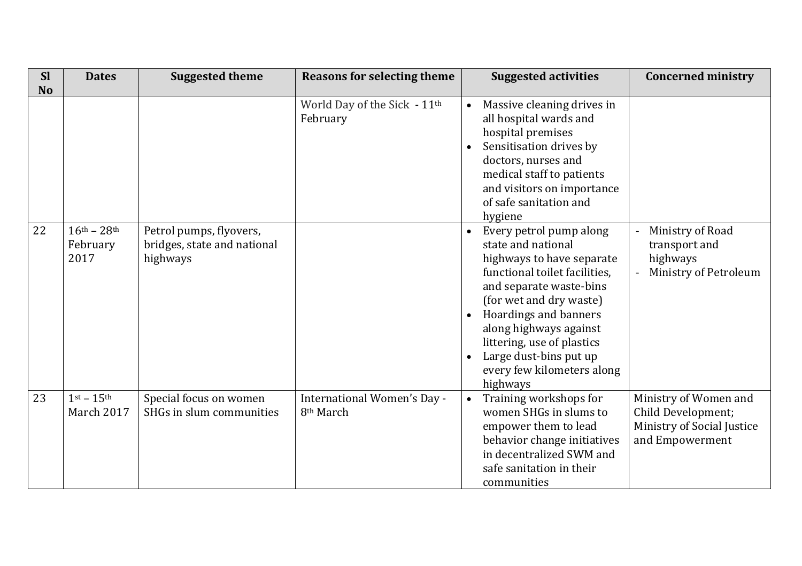| <b>Sl</b><br>N <sub>o</sub> | <b>Dates</b>                            | <b>Suggested theme</b>                                             | <b>Reasons for selecting theme</b>                   | <b>Concerned ministry</b><br><b>Suggested activities</b>                                                                                                                                                                                                                                                                                                                                                      |
|-----------------------------|-----------------------------------------|--------------------------------------------------------------------|------------------------------------------------------|---------------------------------------------------------------------------------------------------------------------------------------------------------------------------------------------------------------------------------------------------------------------------------------------------------------------------------------------------------------------------------------------------------------|
|                             |                                         |                                                                    | World Day of the Sick - 11 <sup>th</sup><br>February | Massive cleaning drives in<br>$\bullet$<br>all hospital wards and<br>hospital premises<br>Sensitisation drives by<br>doctors, nurses and<br>medical staff to patients<br>and visitors on importance<br>of safe sanitation and<br>hygiene                                                                                                                                                                      |
| 22                          | $16^{th} - 28^{th}$<br>February<br>2017 | Petrol pumps, flyovers,<br>bridges, state and national<br>highways |                                                      | Every petrol pump along<br>Ministry of Road<br>state and national<br>transport and<br>highways to have separate<br>highways<br>functional toilet facilities,<br>Ministry of Petroleum<br>and separate waste-bins<br>(for wet and dry waste)<br>Hoardings and banners<br>along highways against<br>littering, use of plastics<br>Large dust-bins put up<br>$\bullet$<br>every few kilometers along<br>highways |
| 23                          | $1st - 15th$<br>March 2017              | Special focus on women<br>SHGs in slum communities                 | International Women's Day -<br>8 <sup>th</sup> March | Training workshops for<br>Ministry of Women and<br>$\bullet$<br>Child Development;<br>women SHGs in slums to<br>Ministry of Social Justice<br>empower them to lead<br>and Empowerment<br>behavior change initiatives<br>in decentralized SWM and<br>safe sanitation in their<br>communities                                                                                                                   |